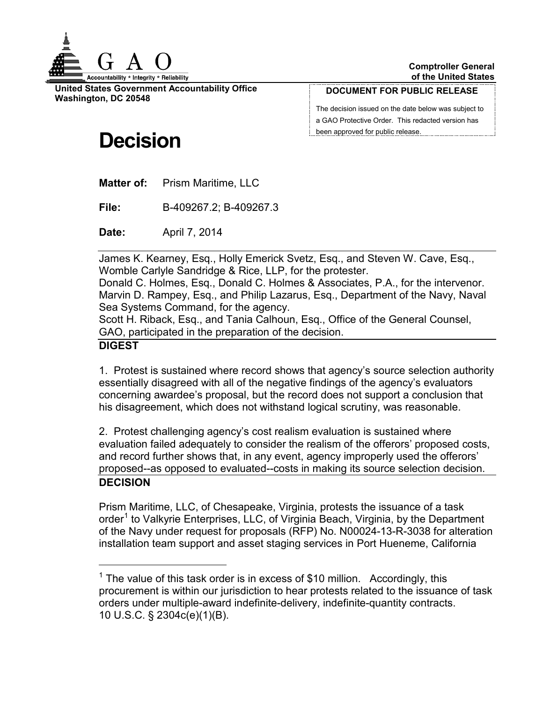

**United States Government Accountability Office Washington, DC 20548**

#### **DOCUMENT FOR PUBLIC RELEASE**

The decision issued on the date below was subject to a GAO Protective Order. This redacted version has been approved for public release.

# **Decision**

**Matter of:** Prism Maritime, LLC

**File:** B-409267.2; B-409267.3

**Date:** April 7, 2014

James K. Kearney, Esq., Holly Emerick Svetz, Esq., and Steven W. Cave, Esq., Womble Carlyle Sandridge & Rice, LLP, for the protester.

Donald C. Holmes, Esq., Donald C. Holmes & Associates, P.A., for the intervenor. Marvin D. Rampey, Esq., and Philip Lazarus, Esq., Department of the Navy, Naval Sea Systems Command, for the agency.

Scott H. Riback, Esq., and Tania Calhoun, Esq., Office of the General Counsel, GAO, participated in the preparation of the decision.

#### **DIGEST**

1. Protest is sustained where record shows that agency's source selection authority essentially disagreed with all of the negative findings of the agency's evaluators concerning awardee's proposal, but the record does not support a conclusion that his disagreement, which does not withstand logical scrutiny, was reasonable.

2. Protest challenging agency's cost realism evaluation is sustained where evaluation failed adequately to consider the realism of the offerors' proposed costs, and record further shows that, in any event, agency improperly used the offerors' proposed--as opposed to evaluated--costs in making its source selection decision. **DECISION**

Prism Maritime, LLC, of Chesapeake, Virginia, protests the issuance of a task order<sup>[1](#page-0-0)</sup> to Valkyrie Enterprises, LLC, of Virginia Beach, Virginia, by the Department of the Navy under request for proposals (RFP) No. N00024-13-R-3038 for alteration installation team support and asset staging services in Port Hueneme, California

<span id="page-0-0"></span><sup>&</sup>lt;sup>1</sup> The value of this task order is in excess of \$10 million. Accordingly, this procurement is within our jurisdiction to hear protests related to the issuance of task orders under multiple-award indefinite-delivery, indefinite-quantity contracts. 10 U.S.C. § 2304c(e)(1)(B).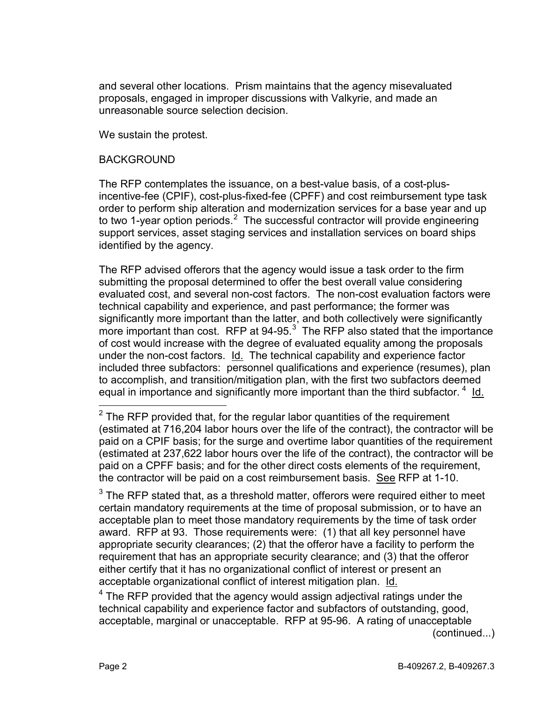and several other locations. Prism maintains that the agency misevaluated proposals, engaged in improper discussions with Valkyrie, and made an unreasonable source selection decision.

We sustain the protest.

#### BACKGROUND

The RFP contemplates the issuance, on a best-value basis, of a cost-plusincentive-fee (CPIF), cost-plus-fixed-fee (CPFF) and cost reimbursement type task order to perform ship alteration and modernization services for a base year and up to two 1-year option periods.<sup>[2](#page-1-0)</sup> The successful contractor will provide engineering support services, asset staging services and installation services on board ships identified by the agency.

The RFP advised offerors that the agency would issue a task order to the firm submitting the proposal determined to offer the best overall value considering evaluated cost, and several non-cost factors. The non-cost evaluation factors were technical capability and experience, and past performance; the former was significantly more important than the latter, and both collectively were significantly more important than cost. RFP at  $94-95.<sup>3</sup>$  $94-95.<sup>3</sup>$  $94-95.<sup>3</sup>$  The RFP also stated that the importance of cost would increase with the degree of evaluated equality among the proposals under the non-cost factors. Id. The technical capability and experience factor included three subfactors: personnel qualifications and experience (resumes), plan to accomplish, and transition/mitigation plan, with the first two subfactors deemed equal in importance and significantly more important than the third subfactor. <sup>[4](#page-1-2)</sup> ld.

<span id="page-1-1"></span> $3$  The RFP stated that, as a threshold matter, offerors were required either to meet certain mandatory requirements at the time of proposal submission, or to have an acceptable plan to meet those mandatory requirements by the time of task order award. RFP at 93. Those requirements were: (1) that all key personnel have appropriate security clearances; (2) that the offeror have a facility to perform the requirement that has an appropriate security clearance; and (3) that the offeror either certify that it has no organizational conflict of interest or present an acceptable organizational conflict of interest mitigation plan. Id.

<span id="page-1-2"></span> $4$  The RFP provided that the agency would assign adjectival ratings under the technical capability and experience factor and subfactors of outstanding, good, acceptable, marginal or unacceptable. RFP at 95-96. A rating of unacceptable

(continued...)

<span id="page-1-0"></span> $2$  The RFP provided that, for the regular labor quantities of the requirement (estimated at 716,204 labor hours over the life of the contract), the contractor will be paid on a CPIF basis; for the surge and overtime labor quantities of the requirement (estimated at 237,622 labor hours over the life of the contract), the contractor will be paid on a CPFF basis; and for the other direct costs elements of the requirement, the contractor will be paid on a cost reimbursement basis. See RFP at 1-10.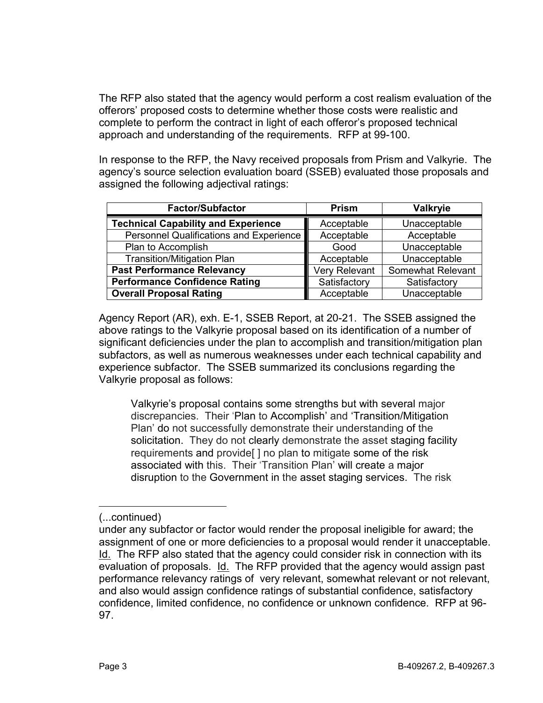The RFP also stated that the agency would perform a cost realism evaluation of the offerors' proposed costs to determine whether those costs were realistic and complete to perform the contract in light of each offeror's proposed technical approach and understanding of the requirements. RFP at 99-100.

In response to the RFP, the Navy received proposals from Prism and Valkyrie. The agency's source selection evaluation board (SSEB) evaluated those proposals and assigned the following adjectival ratings:

| <b>Factor/Subfactor</b>                    | <b>Prism</b>  | <b>Valkryie</b>   |
|--------------------------------------------|---------------|-------------------|
| <b>Technical Capability and Experience</b> | Acceptable    | Unacceptable      |
| Personnel Qualifications and Experience    | Acceptable    | Acceptable        |
| Plan to Accomplish                         | Good          | Unacceptable      |
| <b>Transition/Mitigation Plan</b>          | Acceptable    | Unacceptable      |
| <b>Past Performance Relevancy</b>          | Very Relevant | Somewhat Relevant |
| <b>Performance Confidence Rating</b>       | Satisfactory  | Satisfactory      |
| <b>Overall Proposal Rating</b>             | Acceptable    | Unacceptable      |

Agency Report (AR), exh. E-1, SSEB Report, at 20-21. The SSEB assigned the above ratings to the Valkyrie proposal based on its identification of a number of significant deficiencies under the plan to accomplish and transition/mitigation plan subfactors, as well as numerous weaknesses under each technical capability and experience subfactor. The SSEB summarized its conclusions regarding the Valkyrie proposal as follows:

Valkyrie's proposal contains some strengths but with several major discrepancies. Their 'Plan to Accomplish' and 'Transition/Mitigation Plan' do not successfully demonstrate their understanding of the solicitation. They do not clearly demonstrate the asset staging facility requirements and provide[ ] no plan to mitigate some of the risk associated with this. Their 'Transition Plan' will create a major disruption to the Government in the asset staging services. The risk

 $\overline{a}$ 

<sup>(...</sup>continued)

under any subfactor or factor would render the proposal ineligible for award; the assignment of one or more deficiencies to a proposal would render it unacceptable. Id. The RFP also stated that the agency could consider risk in connection with its evaluation of proposals. Id. The RFP provided that the agency would assign past performance relevancy ratings of very relevant, somewhat relevant or not relevant, and also would assign confidence ratings of substantial confidence, satisfactory confidence, limited confidence, no confidence or unknown confidence. RFP at 96- 97.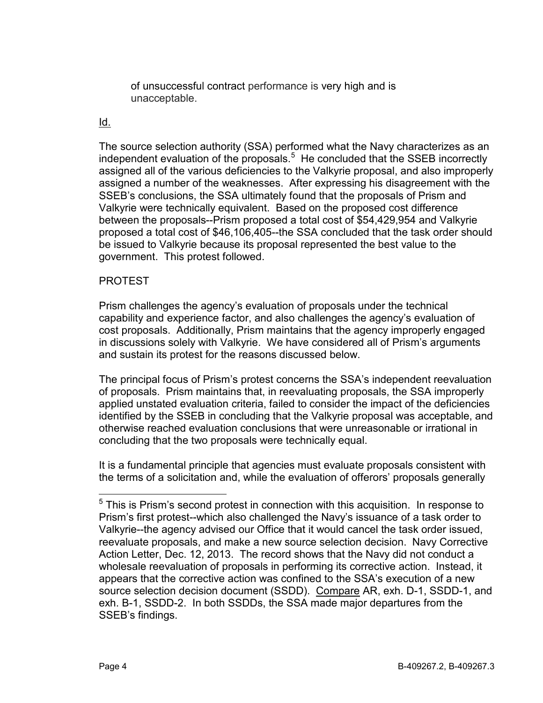of unsuccessful contract performance is very high and is unacceptable.

## Id.

The source selection authority (SSA) performed what the Navy characterizes as an independent evaluation of the proposals.<sup>[5](#page-3-0)</sup> He concluded that the SSEB incorrectly assigned all of the various deficiencies to the Valkyrie proposal, and also improperly assigned a number of the weaknesses. After expressing his disagreement with the SSEB's conclusions, the SSA ultimately found that the proposals of Prism and Valkyrie were technically equivalent. Based on the proposed cost difference between the proposals--Prism proposed a total cost of \$54,429,954 and Valkyrie proposed a total cost of \$46,106,405--the SSA concluded that the task order should be issued to Valkyrie because its proposal represented the best value to the government. This protest followed.

## PROTEST

Prism challenges the agency's evaluation of proposals under the technical capability and experience factor, and also challenges the agency's evaluation of cost proposals. Additionally, Prism maintains that the agency improperly engaged in discussions solely with Valkyrie. We have considered all of Prism's arguments and sustain its protest for the reasons discussed below.

The principal focus of Prism's protest concerns the SSA's independent reevaluation of proposals. Prism maintains that, in reevaluating proposals, the SSA improperly applied unstated evaluation criteria, failed to consider the impact of the deficiencies identified by the SSEB in concluding that the Valkyrie proposal was acceptable, and otherwise reached evaluation conclusions that were unreasonable or irrational in concluding that the two proposals were technically equal.

It is a fundamental principle that agencies must evaluate proposals consistent with the terms of a solicitation and, while the evaluation of offerors' proposals generally

<span id="page-3-0"></span> $5$  This is Prism's second protest in connection with this acquisition. In response to Prism's first protest--which also challenged the Navy's issuance of a task order to Valkyrie--the agency advised our Office that it would cancel the task order issued, reevaluate proposals, and make a new source selection decision. Navy Corrective Action Letter, Dec. 12, 2013. The record shows that the Navy did not conduct a wholesale reevaluation of proposals in performing its corrective action. Instead, it appears that the corrective action was confined to the SSA's execution of a new source selection decision document (SSDD). Compare AR, exh. D-1, SSDD-1, and exh. B-1, SSDD-2. In both SSDDs, the SSA made major departures from the SSEB's findings.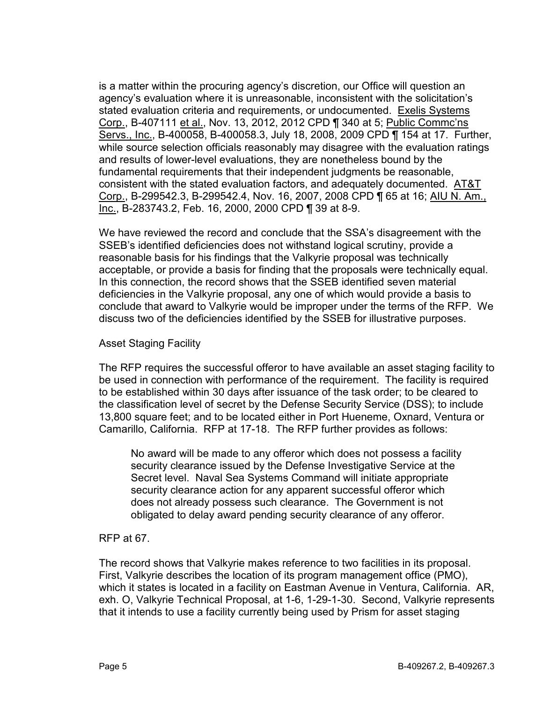is a matter within the procuring agency's discretion, our Office will question an agency's evaluation where it is unreasonable, inconsistent with the solicitation's stated evaluation criteria and requirements, or undocumented. Exelis Systems Corp., B-407111 et al., Nov. 13, 2012, 2012 CPD ¶ 340 at 5; Public Commc'ns Servs., Inc., B-400058, B-400058.3, July 18, 2008, 2009 CPD ¶ 154 at 17. Further, while source selection officials reasonably may disagree with the evaluation ratings and results of lower-level evaluations, they are nonetheless bound by the fundamental requirements that their independent judgments be reasonable, consistent with the stated evaluation factors, and adequately documented. AT&T Corp., B-299542.3, B-299542.4, Nov. 16, 2007, 2008 CPD ¶ 65 at 16; AIU N. Am., Inc., B-283743.2, Feb. 16, 2000, 2000 CPD ¶ 39 at 8-9.

We have reviewed the record and conclude that the SSA's disagreement with the SSEB's identified deficiencies does not withstand logical scrutiny, provide a reasonable basis for his findings that the Valkyrie proposal was technically acceptable, or provide a basis for finding that the proposals were technically equal. In this connection, the record shows that the SSEB identified seven material deficiencies in the Valkyrie proposal, any one of which would provide a basis to conclude that award to Valkyrie would be improper under the terms of the RFP. We discuss two of the deficiencies identified by the SSEB for illustrative purposes.

## Asset Staging Facility

The RFP requires the successful offeror to have available an asset staging facility to be used in connection with performance of the requirement. The facility is required to be established within 30 days after issuance of the task order; to be cleared to the classification level of secret by the Defense Security Service (DSS); to include 13,800 square feet; and to be located either in Port Hueneme, Oxnard, Ventura or Camarillo, California. RFP at 17-18. The RFP further provides as follows:

No award will be made to any offeror which does not possess a facility security clearance issued by the Defense Investigative Service at the Secret level. Naval Sea Systems Command will initiate appropriate security clearance action for any apparent successful offeror which does not already possess such clearance. The Government is not obligated to delay award pending security clearance of any offeror.

## RFP at 67.

The record shows that Valkyrie makes reference to two facilities in its proposal. First, Valkyrie describes the location of its program management office (PMO), which it states is located in a facility on Eastman Avenue in Ventura, California. AR, exh. O, Valkyrie Technical Proposal, at 1-6, 1-29-1-30. Second, Valkyrie represents that it intends to use a facility currently being used by Prism for asset staging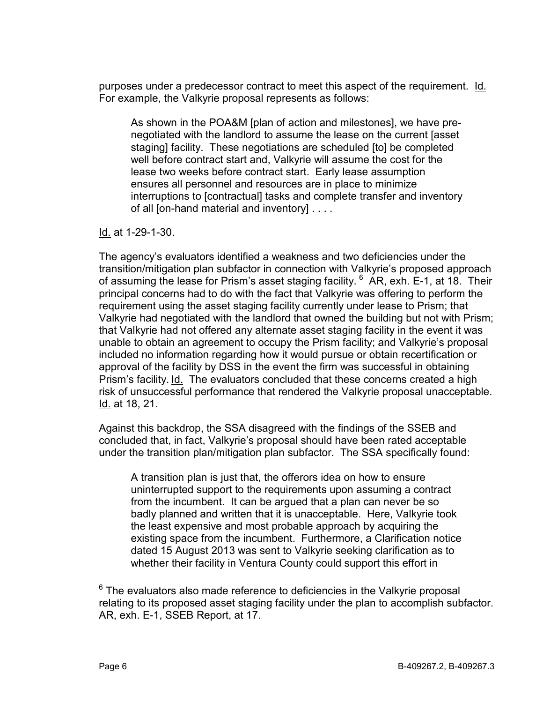purposes under a predecessor contract to meet this aspect of the requirement. Id. For example, the Valkyrie proposal represents as follows:

As shown in the POA&M [plan of action and milestones], we have prenegotiated with the landlord to assume the lease on the current [asset staging] facility. These negotiations are scheduled [to] be completed well before contract start and, Valkyrie will assume the cost for the lease two weeks before contract start. Early lease assumption ensures all personnel and resources are in place to minimize interruptions to [contractual] tasks and complete transfer and inventory of all [on-hand material and inventory] . . . .

Id. at 1-29-1-30.

The agency's evaluators identified a weakness and two deficiencies under the transition/mitigation plan subfactor in connection with Valkyrie's proposed approach of assuming the lease for Prism's asset staging facility. <sup>[6](#page-5-0)</sup> AR, exh. E-1, at 18. Their principal concerns had to do with the fact that Valkyrie was offering to perform the requirement using the asset staging facility currently under lease to Prism; that Valkyrie had negotiated with the landlord that owned the building but not with Prism; that Valkyrie had not offered any alternate asset staging facility in the event it was unable to obtain an agreement to occupy the Prism facility; and Valkyrie's proposal included no information regarding how it would pursue or obtain recertification or approval of the facility by DSS in the event the firm was successful in obtaining Prism's facility. Id. The evaluators concluded that these concerns created a high risk of unsuccessful performance that rendered the Valkyrie proposal unacceptable. Id. at 18, 21.

Against this backdrop, the SSA disagreed with the findings of the SSEB and concluded that, in fact, Valkyrie's proposal should have been rated acceptable under the transition plan/mitigation plan subfactor. The SSA specifically found:

A transition plan is just that, the offerors idea on how to ensure uninterrupted support to the requirements upon assuming a contract from the incumbent. It can be argued that a plan can never be so badly planned and written that it is unacceptable. Here, Valkyrie took the least expensive and most probable approach by acquiring the existing space from the incumbent. Furthermore, a Clarification notice dated 15 August 2013 was sent to Valkyrie seeking clarification as to whether their facility in Ventura County could support this effort in

<span id="page-5-0"></span> $6$  The evaluators also made reference to deficiencies in the Valkyrie proposal relating to its proposed asset staging facility under the plan to accomplish subfactor. AR, exh. E-1, SSEB Report, at 17.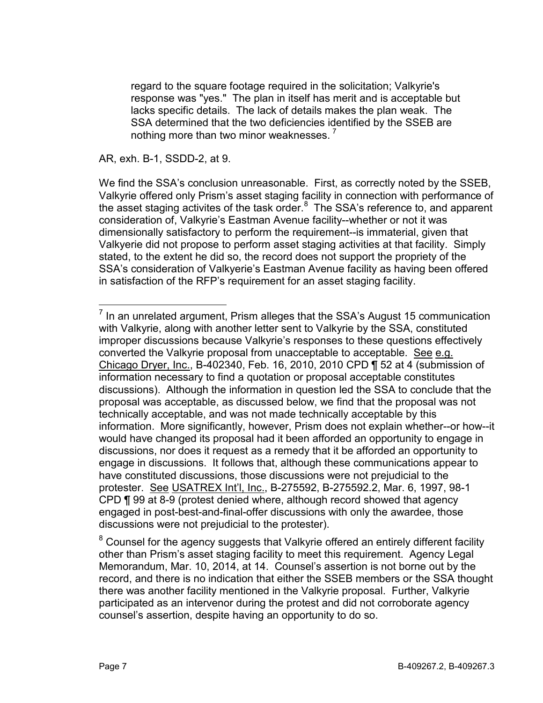regard to the square footage required in the solicitation; Valkyrie's response was "yes." The plan in itself has merit and is acceptable but lacks specific details. The lack of details makes the plan weak. The SSA determined that the two deficiencies identified by the SSEB are nothing more than two minor weaknesses.<sup>[7](#page-6-0)</sup>

AR, exh. B-1, SSDD-2, at 9.

We find the SSA's conclusion unreasonable. First, as correctly noted by the SSEB, Valkyrie offered only Prism's asset staging facility in connection with performance of the asset staging activites of the task order.<sup>[8](#page-6-1)</sup> The SSA's reference to, and apparent consideration of, Valkyrie's Eastman Avenue facility--whether or not it was dimensionally satisfactory to perform the requirement--is immaterial, given that Valkyerie did not propose to perform asset staging activities at that facility. Simply stated, to the extent he did so, the record does not support the propriety of the SSA's consideration of Valkyerie's Eastman Avenue facility as having been offered in satisfaction of the RFP's requirement for an asset staging facility.

<span id="page-6-0"></span> $<sup>7</sup>$  In an unrelated argument, Prism alleges that the SSA's August 15 communication</sup> with Valkyrie, along with another letter sent to Valkyrie by the SSA, constituted improper discussions because Valkyrie's responses to these questions effectively converted the Valkyrie proposal from unacceptable to acceptable. See e.g. Chicago Dryer, Inc., B-402340, Feb. 16, 2010, 2010 CPD ¶ 52 at 4 (submission of information necessary to find a quotation or proposal acceptable constitutes discussions). Although the information in question led the SSA to conclude that the proposal was acceptable, as discussed below, we find that the proposal was not technically acceptable, and was not made technically acceptable by this information. More significantly, however, Prism does not explain whether--or how--it would have changed its proposal had it been afforded an opportunity to engage in discussions, nor does it request as a remedy that it be afforded an opportunity to engage in discussions. It follows that, although these communications appear to have constituted discussions, those discussions were not prejudicial to the protester. See USATREX Int'l, Inc., B-275592, B-275592.2, Mar. 6, 1997, 98-1 CPD ¶ 99 at 8-9 (protest denied where, although record showed that agency engaged in post-best-and-final-offer discussions with only the awardee, those discussions were not prejudicial to the protester).

<span id="page-6-1"></span><sup>&</sup>lt;sup>8</sup> Counsel for the agency suggests that Valkyrie offered an entirely different facility other than Prism's asset staging facility to meet this requirement. Agency Legal Memorandum, Mar. 10, 2014, at 14. Counsel's assertion is not borne out by the record, and there is no indication that either the SSEB members or the SSA thought there was another facility mentioned in the Valkyrie proposal. Further, Valkyrie participated as an intervenor during the protest and did not corroborate agency counsel's assertion, despite having an opportunity to do so.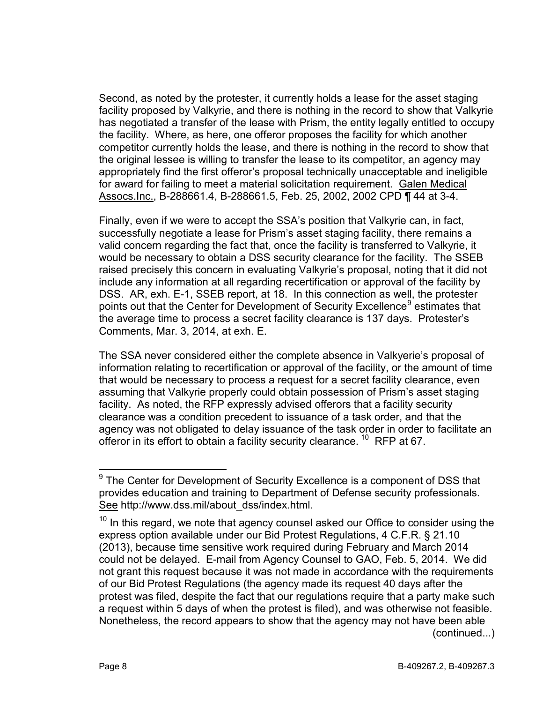Second, as noted by the protester, it currently holds a lease for the asset staging facility proposed by Valkyrie, and there is nothing in the record to show that Valkyrie has negotiated a transfer of the lease with Prism, the entity legally entitled to occupy the facility. Where, as here, one offeror proposes the facility for which another competitor currently holds the lease, and there is nothing in the record to show that the original lessee is willing to transfer the lease to its competitor, an agency may appropriately find the first offeror's proposal technically unacceptable and ineligible for award for failing to meet a material solicitation requirement. Galen Medical Assocs.Inc., B-288661.4, B-288661.5, Feb. 25, 2002, 2002 CPD ¶ 44 at 3-4.

Finally, even if we were to accept the SSA's position that Valkyrie can, in fact, successfully negotiate a lease for Prism's asset staging facility, there remains a valid concern regarding the fact that, once the facility is transferred to Valkyrie, it would be necessary to obtain a DSS security clearance for the facility. The SSEB raised precisely this concern in evaluating Valkyrie's proposal, noting that it did not include any information at all regarding recertification or approval of the facility by DSS. AR, exh. E-1, SSEB report, at 18. In this connection as well, the protester points out that the Center for Development of Security Excellence<sup>[9](#page-7-0)</sup> estimates that the average time to process a secret facility clearance is 137 days. Protester's Comments, Mar. 3, 2014, at exh. E.

The SSA never considered either the complete absence in Valkyerie's proposal of information relating to recertification or approval of the facility, or the amount of time that would be necessary to process a request for a secret facility clearance, even assuming that Valkyrie properly could obtain possession of Prism's asset staging facility. As noted, the RFP expressly advised offerors that a facility security clearance was a condition precedent to issuance of a task order, and that the agency was not obligated to delay issuance of the task order in order to facilitate an offeror in its effort to obtain a facility security clearance. <sup>[10](#page-7-1)</sup> RFP at 67.

<span id="page-7-0"></span> $9$  The Center for Development of Security Excellence is a component of DSS that provides education and training to Department of Defense security professionals. See http://www.dss.mil/about\_dss/index.html.

<span id="page-7-1"></span> $10$  In this regard, we note that agency counsel asked our Office to consider using the express option available under our Bid Protest Regulations, 4 C.F.R. § 21.10 (2013), because time sensitive work required during February and March 2014 could not be delayed. E-mail from Agency Counsel to GAO, Feb. 5, 2014. We did not grant this request because it was not made in accordance with the requirements of our Bid Protest Regulations (the agency made its request 40 days after the protest was filed, despite the fact that our regulations require that a party make such a request within 5 days of when the protest is filed), and was otherwise not feasible. Nonetheless, the record appears to show that the agency may not have been able (continued...)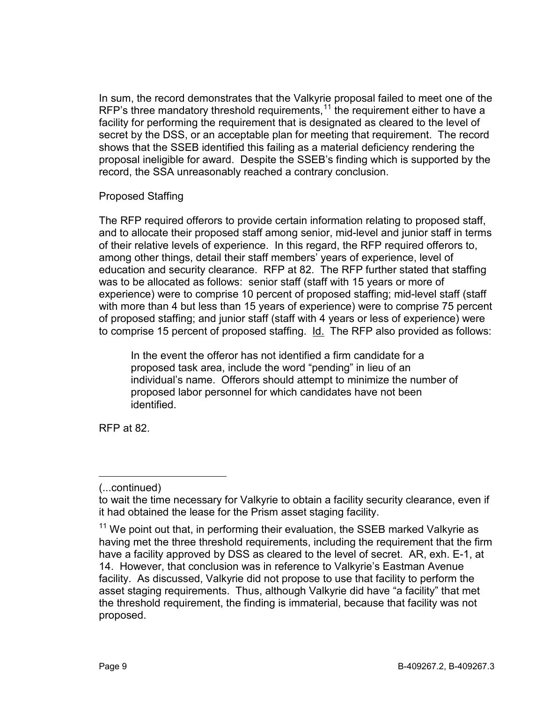In sum, the record demonstrates that the Valkyrie proposal failed to meet one of the RFP's three mandatory threshold requirements,  $11$  the requirement either to have a facility for performing the requirement that is designated as cleared to the level of secret by the DSS, or an acceptable plan for meeting that requirement. The record shows that the SSEB identified this failing as a material deficiency rendering the proposal ineligible for award. Despite the SSEB's finding which is supported by the record, the SSA unreasonably reached a contrary conclusion.

#### Proposed Staffing

The RFP required offerors to provide certain information relating to proposed staff, and to allocate their proposed staff among senior, mid-level and junior staff in terms of their relative levels of experience. In this regard, the RFP required offerors to, among other things, detail their staff members' years of experience, level of education and security clearance. RFP at 82. The RFP further stated that staffing was to be allocated as follows: senior staff (staff with 15 years or more of experience) were to comprise 10 percent of proposed staffing; mid-level staff (staff with more than 4 but less than 15 years of experience) were to comprise 75 percent of proposed staffing; and junior staff (staff with 4 years or less of experience) were to comprise 15 percent of proposed staffing. Id. The RFP also provided as follows:

In the event the offeror has not identified a firm candidate for a proposed task area, include the word "pending" in lieu of an individual's name. Offerors should attempt to minimize the number of proposed labor personnel for which candidates have not been identified.

RFP at 82.

 $\overline{a}$ 

<sup>(...</sup>continued)

to wait the time necessary for Valkyrie to obtain a facility security clearance, even if it had obtained the lease for the Prism asset staging facility.

<span id="page-8-0"></span> $11$  We point out that, in performing their evaluation, the SSEB marked Valkyrie as having met the three threshold requirements, including the requirement that the firm have a facility approved by DSS as cleared to the level of secret. AR, exh. E-1, at 14. However, that conclusion was in reference to Valkyrie's Eastman Avenue facility. As discussed, Valkyrie did not propose to use that facility to perform the asset staging requirements. Thus, although Valkyrie did have "a facility" that met the threshold requirement, the finding is immaterial, because that facility was not proposed.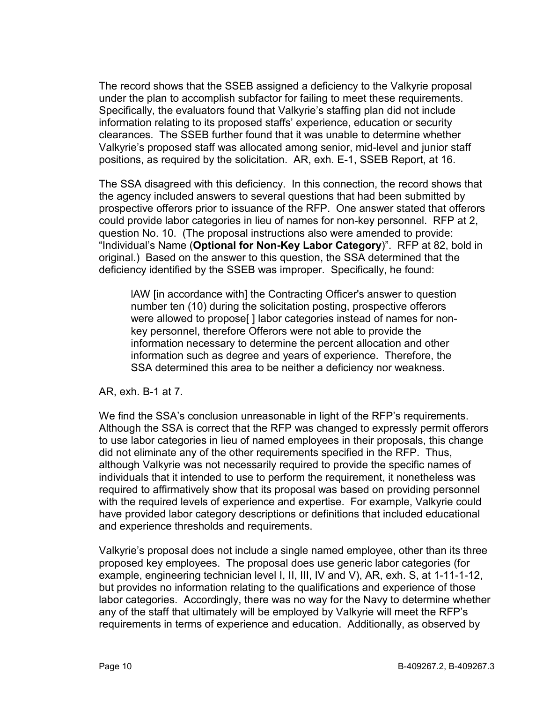The record shows that the SSEB assigned a deficiency to the Valkyrie proposal under the plan to accomplish subfactor for failing to meet these requirements. Specifically, the evaluators found that Valkyrie's staffing plan did not include information relating to its proposed staffs' experience, education or security clearances. The SSEB further found that it was unable to determine whether Valkyrie's proposed staff was allocated among senior, mid-level and junior staff positions, as required by the solicitation. AR, exh. E-1, SSEB Report, at 16.

The SSA disagreed with this deficiency. In this connection, the record shows that the agency included answers to several questions that had been submitted by prospective offerors prior to issuance of the RFP. One answer stated that offerors could provide labor categories in lieu of names for non-key personnel. RFP at 2, question No. 10. (The proposal instructions also were amended to provide: "Individual's Name (**Optional for Non-Key Labor Category**)". RFP at 82, bold in original.) Based on the answer to this question, the SSA determined that the deficiency identified by the SSEB was improper. Specifically, he found:

lAW [in accordance with] the Contracting Officer's answer to question number ten (10) during the solicitation posting, prospective offerors were allowed to propose[] labor categories instead of names for nonkey personnel, therefore Offerors were not able to provide the information necessary to determine the percent allocation and other information such as degree and years of experience. Therefore, the SSA determined this area to be neither a deficiency nor weakness.

AR, exh. B-1 at 7.

We find the SSA's conclusion unreasonable in light of the RFP's requirements. Although the SSA is correct that the RFP was changed to expressly permit offerors to use labor categories in lieu of named employees in their proposals, this change did not eliminate any of the other requirements specified in the RFP. Thus, although Valkyrie was not necessarily required to provide the specific names of individuals that it intended to use to perform the requirement, it nonetheless was required to affirmatively show that its proposal was based on providing personnel with the required levels of experience and expertise. For example, Valkyrie could have provided labor category descriptions or definitions that included educational and experience thresholds and requirements.

Valkyrie's proposal does not include a single named employee, other than its three proposed key employees. The proposal does use generic labor categories (for example, engineering technician level I, II, III, IV and V), AR, exh. S, at 1-11-1-12, but provides no information relating to the qualifications and experience of those labor categories. Accordingly, there was no way for the Navy to determine whether any of the staff that ultimately will be employed by Valkyrie will meet the RFP's requirements in terms of experience and education. Additionally, as observed by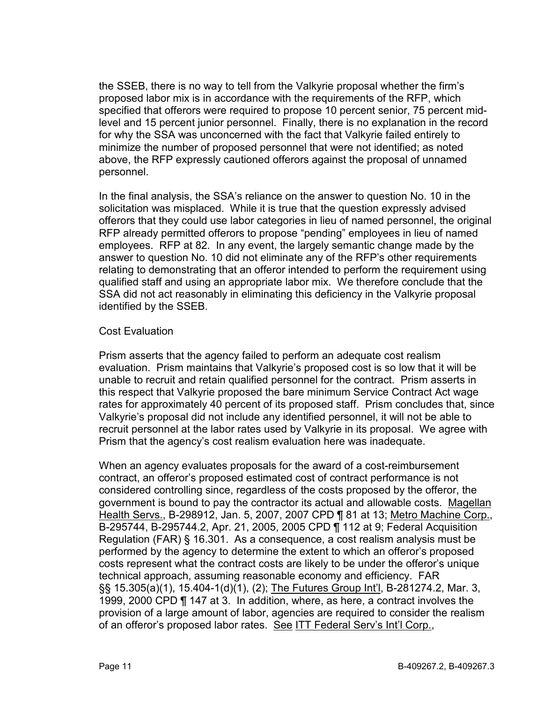the SSEB, there is no way to tell from the Valkyrie proposal whether the firm's proposed labor mix is in accordance with the requirements of the RFP, which specified that offerors were required to propose 10 percent senior, 75 percent midlevel and 15 percent junior personnel. Finally, there is no explanation in the record for why the SSA was unconcerned with the fact that Valkyrie failed entirely to minimize the number of proposed personnel that were not identified; as noted above, the RFP expressly cautioned offerors against the proposal of unnamed personnel.

In the final analysis, the SSA's reliance on the answer to question No. 10 in the solicitation was misplaced. While it is true that the question expressly advised offerors that they could use labor categories in lieu of named personnel, the original RFP already permitted offerors to propose "pending" employees in lieu of named employees. RFP at 82. In any event, the largely semantic change made by the answer to question No. 10 did not eliminate any of the RFP's other requirements relating to demonstrating that an offeror intended to perform the requirement using qualified staff and using an appropriate labor mix. We therefore conclude that the SSA did not act reasonably in eliminating this deficiency in the Valkyrie proposal identified by the SSEB.

## Cost Evaluation

Prism asserts that the agency failed to perform an adequate cost realism evaluation. Prism maintains that Valkyrie's proposed cost is so low that it will be unable to recruit and retain qualified personnel for the contract. Prism asserts in this respect that Valkyrie proposed the bare minimum Service Contract Act wage rates for approximately 40 percent of its proposed staff. Prism concludes that, since Valkyrie's proposal did not include any identified personnel, it will not be able to recruit personnel at the labor rates used by Valkyrie in its proposal. We agree with Prism that the agency's cost realism evaluation here was inadequate.

When an agency evaluates proposals for the award of a cost-reimbursement contract, an offeror's proposed estimated cost of contract performance is not considered controlling since, regardless of the costs proposed by the offeror, the government is bound to pay the contractor its actual and allowable costs. Magellan Health Servs., B-298912, Jan. 5, 2007, 2007 CPD ¶ 81 at 13; Metro Machine Corp., B-295744, B-295744.2, Apr. 21, 2005, 2005 CPD ¶ 112 at 9; Federal Acquisition Regulation (FAR) § 16.301. As a consequence, a cost realism analysis must be performed by the agency to determine the extent to which an offeror's proposed costs represent what the contract costs are likely to be under the offeror's unique technical approach, assuming reasonable economy and efficiency. FAR §§ 15.305(a)(1), 15.404-1(d)(1), (2); The Futures Group Int'l, B-281274.2, Mar. 3, 1999, 2000 CPD ¶ 147 at 3. In addition, where, as here, a contract involves the provision of a large amount of labor, agencies are required to consider the realism of an offeror's proposed labor rates. See ITT Federal Serv's Int'l Corp.,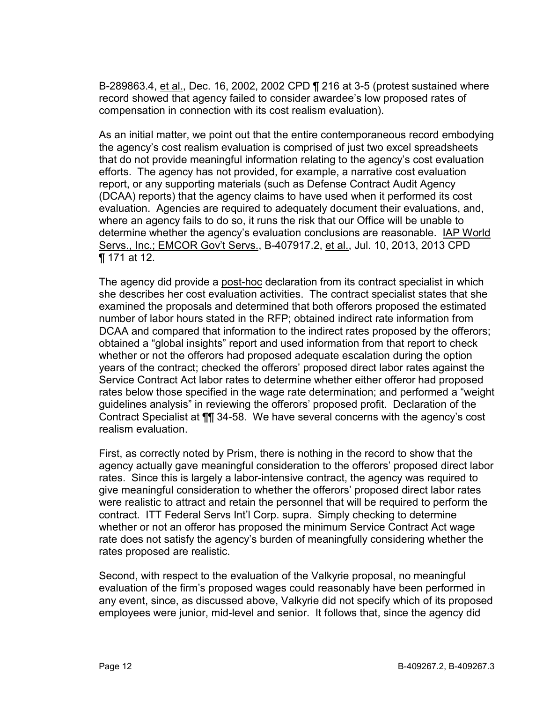B-289863.4, et al., Dec. 16, 2002, 2002 CPD ¶ 216 at 3-5 (protest sustained where record showed that agency failed to consider awardee's low proposed rates of compensation in connection with its cost realism evaluation).

As an initial matter, we point out that the entire contemporaneous record embodying the agency's cost realism evaluation is comprised of just two excel spreadsheets that do not provide meaningful information relating to the agency's cost evaluation efforts. The agency has not provided, for example, a narrative cost evaluation report, or any supporting materials (such as Defense Contract Audit Agency (DCAA) reports) that the agency claims to have used when it performed its cost evaluation. Agencies are required to adequately document their evaluations, and, where an agency fails to do so, it runs the risk that our Office will be unable to determine whether the agency's evaluation conclusions are reasonable. IAP World Servs., Inc.; EMCOR Gov't Servs., B-407917.2, et al., Jul. 10, 2013, 2013 CPD ¶ 171 at 12.

The agency did provide a post-hoc declaration from its contract specialist in which she describes her cost evaluation activities. The contract specialist states that she examined the proposals and determined that both offerors proposed the estimated number of labor hours stated in the RFP; obtained indirect rate information from DCAA and compared that information to the indirect rates proposed by the offerors; obtained a "global insights" report and used information from that report to check whether or not the offerors had proposed adequate escalation during the option years of the contract; checked the offerors' proposed direct labor rates against the Service Contract Act labor rates to determine whether either offeror had proposed rates below those specified in the wage rate determination; and performed a "weight guidelines analysis" in reviewing the offerors' proposed profit. Declaration of the Contract Specialist at ¶¶ 34-58. We have several concerns with the agency's cost realism evaluation.

First, as correctly noted by Prism, there is nothing in the record to show that the agency actually gave meaningful consideration to the offerors' proposed direct labor rates. Since this is largely a labor-intensive contract, the agency was required to give meaningful consideration to whether the offerors' proposed direct labor rates were realistic to attract and retain the personnel that will be required to perform the contract. ITT Federal Servs Int'l Corp. supra. Simply checking to determine whether or not an offeror has proposed the minimum Service Contract Act wage rate does not satisfy the agency's burden of meaningfully considering whether the rates proposed are realistic.

Second, with respect to the evaluation of the Valkyrie proposal, no meaningful evaluation of the firm's proposed wages could reasonably have been performed in any event, since, as discussed above, Valkyrie did not specify which of its proposed employees were junior, mid-level and senior. It follows that, since the agency did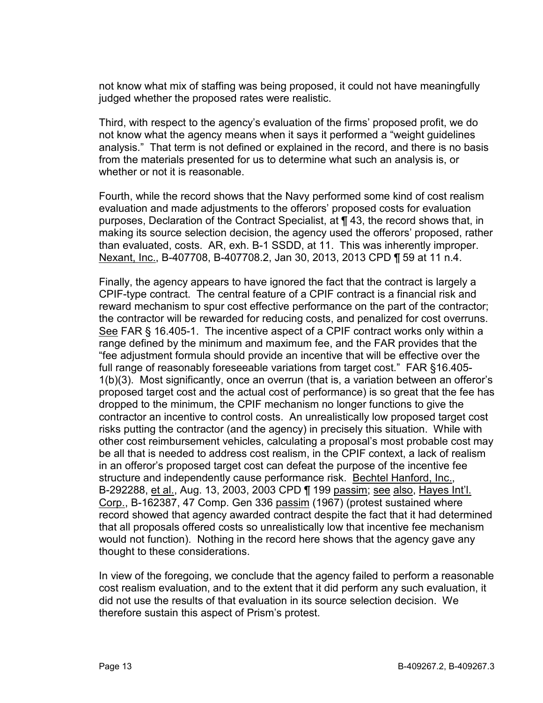not know what mix of staffing was being proposed, it could not have meaningfully judged whether the proposed rates were realistic.

Third, with respect to the agency's evaluation of the firms' proposed profit, we do not know what the agency means when it says it performed a "weight guidelines analysis." That term is not defined or explained in the record, and there is no basis from the materials presented for us to determine what such an analysis is, or whether or not it is reasonable.

Fourth, while the record shows that the Navy performed some kind of cost realism evaluation and made adjustments to the offerors' proposed costs for evaluation purposes, Declaration of the Contract Specialist, at ¶ 43, the record shows that, in making its source selection decision, the agency used the offerors' proposed, rather than evaluated, costs. AR, exh. B-1 SSDD, at 11. This was inherently improper. Nexant, Inc., B-407708, B-407708.2, Jan 30, 2013, 2013 CPD ¶ 59 at 11 n.4.

Finally, the agency appears to have ignored the fact that the contract is largely a CPIF-type contract. The central feature of a CPIF contract is a financial risk and reward mechanism to spur cost effective performance on the part of the contractor; the contractor will be rewarded for reducing costs, and penalized for cost overruns. See FAR § 16.405-1. The incentive aspect of a CPIF contract works only within a range defined by the minimum and maximum fee, and the FAR provides that the "fee adjustment formula should provide an incentive that will be effective over the full range of reasonably foreseeable variations from target cost." FAR §16.405- 1(b)(3). Most significantly, once an overrun (that is, a variation between an offeror's proposed target cost and the actual cost of performance) is so great that the fee has dropped to the minimum, the CPIF mechanism no longer functions to give the contractor an incentive to control costs. An unrealistically low proposed target cost risks putting the contractor (and the agency) in precisely this situation. While with other cost reimbursement vehicles, calculating a proposal's most probable cost may be all that is needed to address cost realism, in the CPIF context, a lack of realism in an offeror's proposed target cost can defeat the purpose of the incentive fee structure and independently cause performance risk. Bechtel Hanford, Inc., B-292288, et al., Aug. 13, 2003, 2003 CPD | 199 passim; see also, Hayes Int'l. Corp., B-162387, 47 Comp. Gen 336 passim (1967) (protest sustained where record showed that agency awarded contract despite the fact that it had determined that all proposals offered costs so unrealistically low that incentive fee mechanism would not function). Nothing in the record here shows that the agency gave any thought to these considerations.

In view of the foregoing, we conclude that the agency failed to perform a reasonable cost realism evaluation, and to the extent that it did perform any such evaluation, it did not use the results of that evaluation in its source selection decision. We therefore sustain this aspect of Prism's protest.